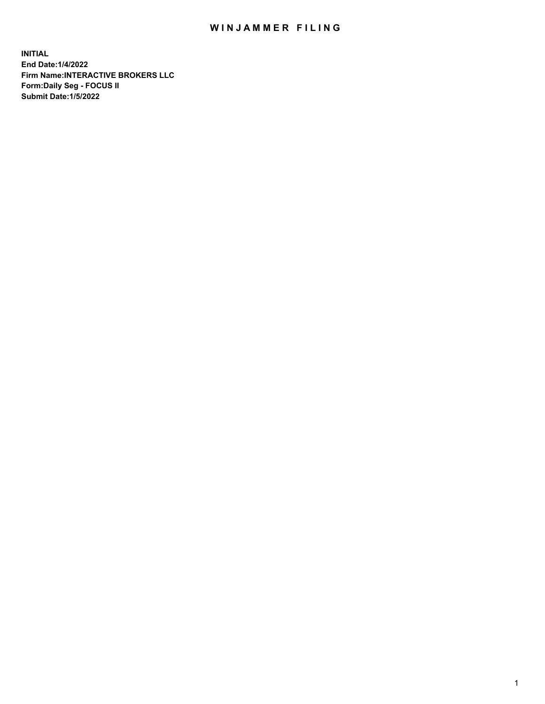## WIN JAMMER FILING

**INITIAL End Date:1/4/2022 Firm Name:INTERACTIVE BROKERS LLC Form:Daily Seg - FOCUS II Submit Date:1/5/2022**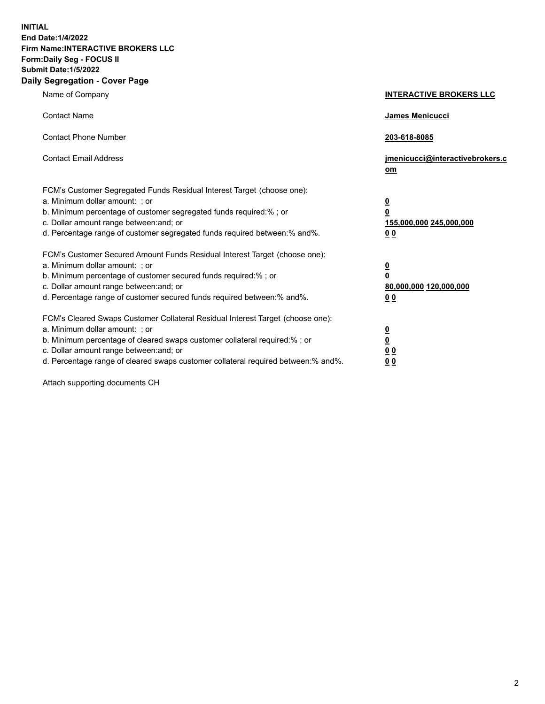**INITIAL End Date:1/4/2022 Firm Name:INTERACTIVE BROKERS LLC Form:Daily Seg - FOCUS II Submit Date:1/5/2022 Daily Segregation - Cover Page**

| Name of Company                                                                                                                                                                                                                                                                                                                | <b>INTERACTIVE BROKERS LLC</b>                                                                  |
|--------------------------------------------------------------------------------------------------------------------------------------------------------------------------------------------------------------------------------------------------------------------------------------------------------------------------------|-------------------------------------------------------------------------------------------------|
| <b>Contact Name</b>                                                                                                                                                                                                                                                                                                            | <b>James Menicucci</b>                                                                          |
| <b>Contact Phone Number</b>                                                                                                                                                                                                                                                                                                    | 203-618-8085                                                                                    |
| <b>Contact Email Address</b>                                                                                                                                                                                                                                                                                                   | jmenicucci@interactivebrokers.c<br>om                                                           |
| FCM's Customer Segregated Funds Residual Interest Target (choose one):<br>a. Minimum dollar amount: ; or<br>b. Minimum percentage of customer segregated funds required:% ; or<br>c. Dollar amount range between: and; or<br>d. Percentage range of customer segregated funds required between:% and%.                         | $\overline{\mathbf{0}}$<br>$\overline{\mathbf{0}}$<br>155,000,000 245,000,000<br>0 <sub>0</sub> |
| FCM's Customer Secured Amount Funds Residual Interest Target (choose one):<br>a. Minimum dollar amount: ; or<br>b. Minimum percentage of customer secured funds required:%; or<br>c. Dollar amount range between: and; or<br>d. Percentage range of customer secured funds required between:% and%.                            | $\overline{\mathbf{0}}$<br>$\mathbf 0$<br>80,000,000 120,000,000<br>0 <sub>0</sub>              |
| FCM's Cleared Swaps Customer Collateral Residual Interest Target (choose one):<br>a. Minimum dollar amount: ; or<br>b. Minimum percentage of cleared swaps customer collateral required:% ; or<br>c. Dollar amount range between: and; or<br>d. Percentage range of cleared swaps customer collateral required between:% and%. | $\overline{\mathbf{0}}$<br>$\underline{\mathbf{0}}$<br>0 <sub>0</sub><br>0 <sub>0</sub>         |

Attach supporting documents CH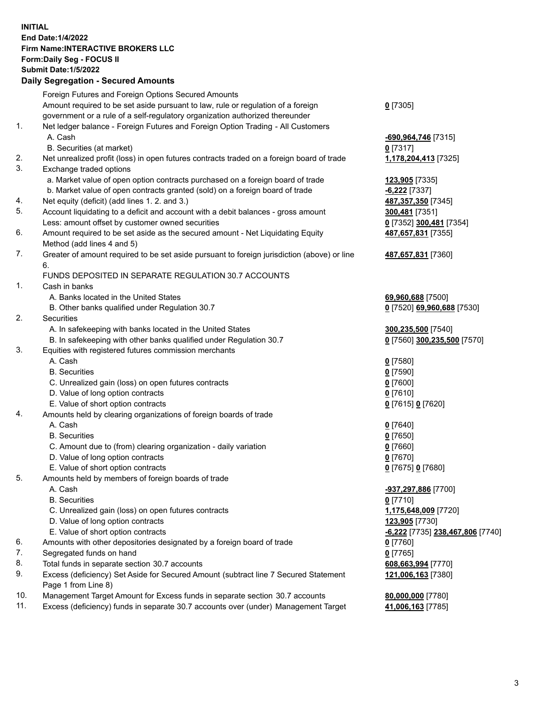**INITIAL End Date:1/4/2022 Firm Name:INTERACTIVE BROKERS LLC Form:Daily Seg - FOCUS II Submit Date:1/5/2022 Daily Segregation - Secured Amounts**

| Foreign Futures and Foreign Options Secured Amounts |                                                                                                                                                                                                                                                                                                                                                                                                                                                                                                                                                                                                                                                                                                                                                                                                                                                                                                                                                                                                                                                                                                                                                                                                                                                                                                                                                                                                                                                                                                                                                                                                                                                                                                                                                                                                                                                                                                                                                                                                                                                                                                                                                                                                                                                                                                                                                                                                                                                                              |
|-----------------------------------------------------|------------------------------------------------------------------------------------------------------------------------------------------------------------------------------------------------------------------------------------------------------------------------------------------------------------------------------------------------------------------------------------------------------------------------------------------------------------------------------------------------------------------------------------------------------------------------------------------------------------------------------------------------------------------------------------------------------------------------------------------------------------------------------------------------------------------------------------------------------------------------------------------------------------------------------------------------------------------------------------------------------------------------------------------------------------------------------------------------------------------------------------------------------------------------------------------------------------------------------------------------------------------------------------------------------------------------------------------------------------------------------------------------------------------------------------------------------------------------------------------------------------------------------------------------------------------------------------------------------------------------------------------------------------------------------------------------------------------------------------------------------------------------------------------------------------------------------------------------------------------------------------------------------------------------------------------------------------------------------------------------------------------------------------------------------------------------------------------------------------------------------------------------------------------------------------------------------------------------------------------------------------------------------------------------------------------------------------------------------------------------------------------------------------------------------------------------------------------------------|
|                                                     | $0$ [7305]                                                                                                                                                                                                                                                                                                                                                                                                                                                                                                                                                                                                                                                                                                                                                                                                                                                                                                                                                                                                                                                                                                                                                                                                                                                                                                                                                                                                                                                                                                                                                                                                                                                                                                                                                                                                                                                                                                                                                                                                                                                                                                                                                                                                                                                                                                                                                                                                                                                                   |
|                                                     |                                                                                                                                                                                                                                                                                                                                                                                                                                                                                                                                                                                                                                                                                                                                                                                                                                                                                                                                                                                                                                                                                                                                                                                                                                                                                                                                                                                                                                                                                                                                                                                                                                                                                                                                                                                                                                                                                                                                                                                                                                                                                                                                                                                                                                                                                                                                                                                                                                                                              |
|                                                     |                                                                                                                                                                                                                                                                                                                                                                                                                                                                                                                                                                                                                                                                                                                                                                                                                                                                                                                                                                                                                                                                                                                                                                                                                                                                                                                                                                                                                                                                                                                                                                                                                                                                                                                                                                                                                                                                                                                                                                                                                                                                                                                                                                                                                                                                                                                                                                                                                                                                              |
|                                                     | -690,964,746 [7315]                                                                                                                                                                                                                                                                                                                                                                                                                                                                                                                                                                                                                                                                                                                                                                                                                                                                                                                                                                                                                                                                                                                                                                                                                                                                                                                                                                                                                                                                                                                                                                                                                                                                                                                                                                                                                                                                                                                                                                                                                                                                                                                                                                                                                                                                                                                                                                                                                                                          |
|                                                     | $0$ [7317]                                                                                                                                                                                                                                                                                                                                                                                                                                                                                                                                                                                                                                                                                                                                                                                                                                                                                                                                                                                                                                                                                                                                                                                                                                                                                                                                                                                                                                                                                                                                                                                                                                                                                                                                                                                                                                                                                                                                                                                                                                                                                                                                                                                                                                                                                                                                                                                                                                                                   |
|                                                     | 1,178,204,413 [7325]                                                                                                                                                                                                                                                                                                                                                                                                                                                                                                                                                                                                                                                                                                                                                                                                                                                                                                                                                                                                                                                                                                                                                                                                                                                                                                                                                                                                                                                                                                                                                                                                                                                                                                                                                                                                                                                                                                                                                                                                                                                                                                                                                                                                                                                                                                                                                                                                                                                         |
|                                                     |                                                                                                                                                                                                                                                                                                                                                                                                                                                                                                                                                                                                                                                                                                                                                                                                                                                                                                                                                                                                                                                                                                                                                                                                                                                                                                                                                                                                                                                                                                                                                                                                                                                                                                                                                                                                                                                                                                                                                                                                                                                                                                                                                                                                                                                                                                                                                                                                                                                                              |
|                                                     | 123,905 [7335]                                                                                                                                                                                                                                                                                                                                                                                                                                                                                                                                                                                                                                                                                                                                                                                                                                                                                                                                                                                                                                                                                                                                                                                                                                                                                                                                                                                                                                                                                                                                                                                                                                                                                                                                                                                                                                                                                                                                                                                                                                                                                                                                                                                                                                                                                                                                                                                                                                                               |
|                                                     | -6,222 [7337]                                                                                                                                                                                                                                                                                                                                                                                                                                                                                                                                                                                                                                                                                                                                                                                                                                                                                                                                                                                                                                                                                                                                                                                                                                                                                                                                                                                                                                                                                                                                                                                                                                                                                                                                                                                                                                                                                                                                                                                                                                                                                                                                                                                                                                                                                                                                                                                                                                                                |
|                                                     | 487,357,350 [7345]                                                                                                                                                                                                                                                                                                                                                                                                                                                                                                                                                                                                                                                                                                                                                                                                                                                                                                                                                                                                                                                                                                                                                                                                                                                                                                                                                                                                                                                                                                                                                                                                                                                                                                                                                                                                                                                                                                                                                                                                                                                                                                                                                                                                                                                                                                                                                                                                                                                           |
|                                                     | 300,481 [7351]                                                                                                                                                                                                                                                                                                                                                                                                                                                                                                                                                                                                                                                                                                                                                                                                                                                                                                                                                                                                                                                                                                                                                                                                                                                                                                                                                                                                                                                                                                                                                                                                                                                                                                                                                                                                                                                                                                                                                                                                                                                                                                                                                                                                                                                                                                                                                                                                                                                               |
|                                                     | 0 [7352] 300,481 [7354]                                                                                                                                                                                                                                                                                                                                                                                                                                                                                                                                                                                                                                                                                                                                                                                                                                                                                                                                                                                                                                                                                                                                                                                                                                                                                                                                                                                                                                                                                                                                                                                                                                                                                                                                                                                                                                                                                                                                                                                                                                                                                                                                                                                                                                                                                                                                                                                                                                                      |
|                                                     | 487,657,831 [7355]                                                                                                                                                                                                                                                                                                                                                                                                                                                                                                                                                                                                                                                                                                                                                                                                                                                                                                                                                                                                                                                                                                                                                                                                                                                                                                                                                                                                                                                                                                                                                                                                                                                                                                                                                                                                                                                                                                                                                                                                                                                                                                                                                                                                                                                                                                                                                                                                                                                           |
|                                                     |                                                                                                                                                                                                                                                                                                                                                                                                                                                                                                                                                                                                                                                                                                                                                                                                                                                                                                                                                                                                                                                                                                                                                                                                                                                                                                                                                                                                                                                                                                                                                                                                                                                                                                                                                                                                                                                                                                                                                                                                                                                                                                                                                                                                                                                                                                                                                                                                                                                                              |
|                                                     | 487,657,831 [7360]                                                                                                                                                                                                                                                                                                                                                                                                                                                                                                                                                                                                                                                                                                                                                                                                                                                                                                                                                                                                                                                                                                                                                                                                                                                                                                                                                                                                                                                                                                                                                                                                                                                                                                                                                                                                                                                                                                                                                                                                                                                                                                                                                                                                                                                                                                                                                                                                                                                           |
| 6.                                                  |                                                                                                                                                                                                                                                                                                                                                                                                                                                                                                                                                                                                                                                                                                                                                                                                                                                                                                                                                                                                                                                                                                                                                                                                                                                                                                                                                                                                                                                                                                                                                                                                                                                                                                                                                                                                                                                                                                                                                                                                                                                                                                                                                                                                                                                                                                                                                                                                                                                                              |
|                                                     |                                                                                                                                                                                                                                                                                                                                                                                                                                                                                                                                                                                                                                                                                                                                                                                                                                                                                                                                                                                                                                                                                                                                                                                                                                                                                                                                                                                                                                                                                                                                                                                                                                                                                                                                                                                                                                                                                                                                                                                                                                                                                                                                                                                                                                                                                                                                                                                                                                                                              |
|                                                     |                                                                                                                                                                                                                                                                                                                                                                                                                                                                                                                                                                                                                                                                                                                                                                                                                                                                                                                                                                                                                                                                                                                                                                                                                                                                                                                                                                                                                                                                                                                                                                                                                                                                                                                                                                                                                                                                                                                                                                                                                                                                                                                                                                                                                                                                                                                                                                                                                                                                              |
|                                                     | 69,960,688 [7500]                                                                                                                                                                                                                                                                                                                                                                                                                                                                                                                                                                                                                                                                                                                                                                                                                                                                                                                                                                                                                                                                                                                                                                                                                                                                                                                                                                                                                                                                                                                                                                                                                                                                                                                                                                                                                                                                                                                                                                                                                                                                                                                                                                                                                                                                                                                                                                                                                                                            |
|                                                     | 0 [7520] 69,960,688 [7530]                                                                                                                                                                                                                                                                                                                                                                                                                                                                                                                                                                                                                                                                                                                                                                                                                                                                                                                                                                                                                                                                                                                                                                                                                                                                                                                                                                                                                                                                                                                                                                                                                                                                                                                                                                                                                                                                                                                                                                                                                                                                                                                                                                                                                                                                                                                                                                                                                                                   |
|                                                     |                                                                                                                                                                                                                                                                                                                                                                                                                                                                                                                                                                                                                                                                                                                                                                                                                                                                                                                                                                                                                                                                                                                                                                                                                                                                                                                                                                                                                                                                                                                                                                                                                                                                                                                                                                                                                                                                                                                                                                                                                                                                                                                                                                                                                                                                                                                                                                                                                                                                              |
|                                                     | 300,235,500 [7540]                                                                                                                                                                                                                                                                                                                                                                                                                                                                                                                                                                                                                                                                                                                                                                                                                                                                                                                                                                                                                                                                                                                                                                                                                                                                                                                                                                                                                                                                                                                                                                                                                                                                                                                                                                                                                                                                                                                                                                                                                                                                                                                                                                                                                                                                                                                                                                                                                                                           |
|                                                     | 0 [7560] 300,235,500 [7570]                                                                                                                                                                                                                                                                                                                                                                                                                                                                                                                                                                                                                                                                                                                                                                                                                                                                                                                                                                                                                                                                                                                                                                                                                                                                                                                                                                                                                                                                                                                                                                                                                                                                                                                                                                                                                                                                                                                                                                                                                                                                                                                                                                                                                                                                                                                                                                                                                                                  |
|                                                     |                                                                                                                                                                                                                                                                                                                                                                                                                                                                                                                                                                                                                                                                                                                                                                                                                                                                                                                                                                                                                                                                                                                                                                                                                                                                                                                                                                                                                                                                                                                                                                                                                                                                                                                                                                                                                                                                                                                                                                                                                                                                                                                                                                                                                                                                                                                                                                                                                                                                              |
|                                                     | $0$ [7580]                                                                                                                                                                                                                                                                                                                                                                                                                                                                                                                                                                                                                                                                                                                                                                                                                                                                                                                                                                                                                                                                                                                                                                                                                                                                                                                                                                                                                                                                                                                                                                                                                                                                                                                                                                                                                                                                                                                                                                                                                                                                                                                                                                                                                                                                                                                                                                                                                                                                   |
|                                                     | $0$ [7590]                                                                                                                                                                                                                                                                                                                                                                                                                                                                                                                                                                                                                                                                                                                                                                                                                                                                                                                                                                                                                                                                                                                                                                                                                                                                                                                                                                                                                                                                                                                                                                                                                                                                                                                                                                                                                                                                                                                                                                                                                                                                                                                                                                                                                                                                                                                                                                                                                                                                   |
|                                                     | $0$ [7600]                                                                                                                                                                                                                                                                                                                                                                                                                                                                                                                                                                                                                                                                                                                                                                                                                                                                                                                                                                                                                                                                                                                                                                                                                                                                                                                                                                                                                                                                                                                                                                                                                                                                                                                                                                                                                                                                                                                                                                                                                                                                                                                                                                                                                                                                                                                                                                                                                                                                   |
|                                                     | $0$ [7610]                                                                                                                                                                                                                                                                                                                                                                                                                                                                                                                                                                                                                                                                                                                                                                                                                                                                                                                                                                                                                                                                                                                                                                                                                                                                                                                                                                                                                                                                                                                                                                                                                                                                                                                                                                                                                                                                                                                                                                                                                                                                                                                                                                                                                                                                                                                                                                                                                                                                   |
|                                                     | 0 [7615] 0 [7620]                                                                                                                                                                                                                                                                                                                                                                                                                                                                                                                                                                                                                                                                                                                                                                                                                                                                                                                                                                                                                                                                                                                                                                                                                                                                                                                                                                                                                                                                                                                                                                                                                                                                                                                                                                                                                                                                                                                                                                                                                                                                                                                                                                                                                                                                                                                                                                                                                                                            |
|                                                     |                                                                                                                                                                                                                                                                                                                                                                                                                                                                                                                                                                                                                                                                                                                                                                                                                                                                                                                                                                                                                                                                                                                                                                                                                                                                                                                                                                                                                                                                                                                                                                                                                                                                                                                                                                                                                                                                                                                                                                                                                                                                                                                                                                                                                                                                                                                                                                                                                                                                              |
|                                                     | $Q$ [7640]                                                                                                                                                                                                                                                                                                                                                                                                                                                                                                                                                                                                                                                                                                                                                                                                                                                                                                                                                                                                                                                                                                                                                                                                                                                                                                                                                                                                                                                                                                                                                                                                                                                                                                                                                                                                                                                                                                                                                                                                                                                                                                                                                                                                                                                                                                                                                                                                                                                                   |
|                                                     | $0$ [7650]                                                                                                                                                                                                                                                                                                                                                                                                                                                                                                                                                                                                                                                                                                                                                                                                                                                                                                                                                                                                                                                                                                                                                                                                                                                                                                                                                                                                                                                                                                                                                                                                                                                                                                                                                                                                                                                                                                                                                                                                                                                                                                                                                                                                                                                                                                                                                                                                                                                                   |
|                                                     | $0$ [7660]                                                                                                                                                                                                                                                                                                                                                                                                                                                                                                                                                                                                                                                                                                                                                                                                                                                                                                                                                                                                                                                                                                                                                                                                                                                                                                                                                                                                                                                                                                                                                                                                                                                                                                                                                                                                                                                                                                                                                                                                                                                                                                                                                                                                                                                                                                                                                                                                                                                                   |
|                                                     | $0$ [7670]                                                                                                                                                                                                                                                                                                                                                                                                                                                                                                                                                                                                                                                                                                                                                                                                                                                                                                                                                                                                                                                                                                                                                                                                                                                                                                                                                                                                                                                                                                                                                                                                                                                                                                                                                                                                                                                                                                                                                                                                                                                                                                                                                                                                                                                                                                                                                                                                                                                                   |
|                                                     | 0 [7675] 0 [7680]                                                                                                                                                                                                                                                                                                                                                                                                                                                                                                                                                                                                                                                                                                                                                                                                                                                                                                                                                                                                                                                                                                                                                                                                                                                                                                                                                                                                                                                                                                                                                                                                                                                                                                                                                                                                                                                                                                                                                                                                                                                                                                                                                                                                                                                                                                                                                                                                                                                            |
|                                                     |                                                                                                                                                                                                                                                                                                                                                                                                                                                                                                                                                                                                                                                                                                                                                                                                                                                                                                                                                                                                                                                                                                                                                                                                                                                                                                                                                                                                                                                                                                                                                                                                                                                                                                                                                                                                                                                                                                                                                                                                                                                                                                                                                                                                                                                                                                                                                                                                                                                                              |
|                                                     | -937,297,886 [7700]                                                                                                                                                                                                                                                                                                                                                                                                                                                                                                                                                                                                                                                                                                                                                                                                                                                                                                                                                                                                                                                                                                                                                                                                                                                                                                                                                                                                                                                                                                                                                                                                                                                                                                                                                                                                                                                                                                                                                                                                                                                                                                                                                                                                                                                                                                                                                                                                                                                          |
|                                                     | $0$ [7710]                                                                                                                                                                                                                                                                                                                                                                                                                                                                                                                                                                                                                                                                                                                                                                                                                                                                                                                                                                                                                                                                                                                                                                                                                                                                                                                                                                                                                                                                                                                                                                                                                                                                                                                                                                                                                                                                                                                                                                                                                                                                                                                                                                                                                                                                                                                                                                                                                                                                   |
|                                                     | 1,175,648,009 [7720]                                                                                                                                                                                                                                                                                                                                                                                                                                                                                                                                                                                                                                                                                                                                                                                                                                                                                                                                                                                                                                                                                                                                                                                                                                                                                                                                                                                                                                                                                                                                                                                                                                                                                                                                                                                                                                                                                                                                                                                                                                                                                                                                                                                                                                                                                                                                                                                                                                                         |
|                                                     | 123,905 [7730]                                                                                                                                                                                                                                                                                                                                                                                                                                                                                                                                                                                                                                                                                                                                                                                                                                                                                                                                                                                                                                                                                                                                                                                                                                                                                                                                                                                                                                                                                                                                                                                                                                                                                                                                                                                                                                                                                                                                                                                                                                                                                                                                                                                                                                                                                                                                                                                                                                                               |
|                                                     | <u>-6,222</u> [7735] 238,467,806 [7740]                                                                                                                                                                                                                                                                                                                                                                                                                                                                                                                                                                                                                                                                                                                                                                                                                                                                                                                                                                                                                                                                                                                                                                                                                                                                                                                                                                                                                                                                                                                                                                                                                                                                                                                                                                                                                                                                                                                                                                                                                                                                                                                                                                                                                                                                                                                                                                                                                                      |
|                                                     | 0 [7760]                                                                                                                                                                                                                                                                                                                                                                                                                                                                                                                                                                                                                                                                                                                                                                                                                                                                                                                                                                                                                                                                                                                                                                                                                                                                                                                                                                                                                                                                                                                                                                                                                                                                                                                                                                                                                                                                                                                                                                                                                                                                                                                                                                                                                                                                                                                                                                                                                                                                     |
|                                                     | $0$ [7765]                                                                                                                                                                                                                                                                                                                                                                                                                                                                                                                                                                                                                                                                                                                                                                                                                                                                                                                                                                                                                                                                                                                                                                                                                                                                                                                                                                                                                                                                                                                                                                                                                                                                                                                                                                                                                                                                                                                                                                                                                                                                                                                                                                                                                                                                                                                                                                                                                                                                   |
|                                                     | 608,663,994 [7770]                                                                                                                                                                                                                                                                                                                                                                                                                                                                                                                                                                                                                                                                                                                                                                                                                                                                                                                                                                                                                                                                                                                                                                                                                                                                                                                                                                                                                                                                                                                                                                                                                                                                                                                                                                                                                                                                                                                                                                                                                                                                                                                                                                                                                                                                                                                                                                                                                                                           |
|                                                     | 121,006,163 [7380]                                                                                                                                                                                                                                                                                                                                                                                                                                                                                                                                                                                                                                                                                                                                                                                                                                                                                                                                                                                                                                                                                                                                                                                                                                                                                                                                                                                                                                                                                                                                                                                                                                                                                                                                                                                                                                                                                                                                                                                                                                                                                                                                                                                                                                                                                                                                                                                                                                                           |
|                                                     |                                                                                                                                                                                                                                                                                                                                                                                                                                                                                                                                                                                                                                                                                                                                                                                                                                                                                                                                                                                                                                                                                                                                                                                                                                                                                                                                                                                                                                                                                                                                                                                                                                                                                                                                                                                                                                                                                                                                                                                                                                                                                                                                                                                                                                                                                                                                                                                                                                                                              |
|                                                     | 80,000,000 [7780]                                                                                                                                                                                                                                                                                                                                                                                                                                                                                                                                                                                                                                                                                                                                                                                                                                                                                                                                                                                                                                                                                                                                                                                                                                                                                                                                                                                                                                                                                                                                                                                                                                                                                                                                                                                                                                                                                                                                                                                                                                                                                                                                                                                                                                                                                                                                                                                                                                                            |
|                                                     | 41,006,163 [7785]                                                                                                                                                                                                                                                                                                                                                                                                                                                                                                                                                                                                                                                                                                                                                                                                                                                                                                                                                                                                                                                                                                                                                                                                                                                                                                                                                                                                                                                                                                                                                                                                                                                                                                                                                                                                                                                                                                                                                                                                                                                                                                                                                                                                                                                                                                                                                                                                                                                            |
|                                                     | Amount required to be set aside pursuant to law, rule or regulation of a foreign<br>government or a rule of a self-regulatory organization authorized thereunder<br>Net ledger balance - Foreign Futures and Foreign Option Trading - All Customers<br>A. Cash<br>B. Securities (at market)<br>Net unrealized profit (loss) in open futures contracts traded on a foreign board of trade<br>Exchange traded options<br>a. Market value of open option contracts purchased on a foreign board of trade<br>b. Market value of open contracts granted (sold) on a foreign board of trade<br>Net equity (deficit) (add lines 1. 2. and 3.)<br>Account liquidating to a deficit and account with a debit balances - gross amount<br>Less: amount offset by customer owned securities<br>Amount required to be set aside as the secured amount - Net Liquidating Equity<br>Method (add lines 4 and 5)<br>Greater of amount required to be set aside pursuant to foreign jurisdiction (above) or line<br>FUNDS DEPOSITED IN SEPARATE REGULATION 30.7 ACCOUNTS<br>Cash in banks<br>A. Banks located in the United States<br>B. Other banks qualified under Regulation 30.7<br>Securities<br>A. In safekeeping with banks located in the United States<br>B. In safekeeping with other banks qualified under Regulation 30.7<br>Equities with registered futures commission merchants<br>A. Cash<br><b>B.</b> Securities<br>C. Unrealized gain (loss) on open futures contracts<br>D. Value of long option contracts<br>E. Value of short option contracts<br>Amounts held by clearing organizations of foreign boards of trade<br>A. Cash<br><b>B.</b> Securities<br>C. Amount due to (from) clearing organization - daily variation<br>D. Value of long option contracts<br>E. Value of short option contracts<br>Amounts held by members of foreign boards of trade<br>A. Cash<br><b>B.</b> Securities<br>C. Unrealized gain (loss) on open futures contracts<br>D. Value of long option contracts<br>E. Value of short option contracts<br>Amounts with other depositories designated by a foreign board of trade<br>Segregated funds on hand<br>Total funds in separate section 30.7 accounts<br>Excess (deficiency) Set Aside for Secured Amount (subtract line 7 Secured Statement<br>Page 1 from Line 8)<br>Management Target Amount for Excess funds in separate section 30.7 accounts<br>Excess (deficiency) funds in separate 30.7 accounts over (under) Management Target |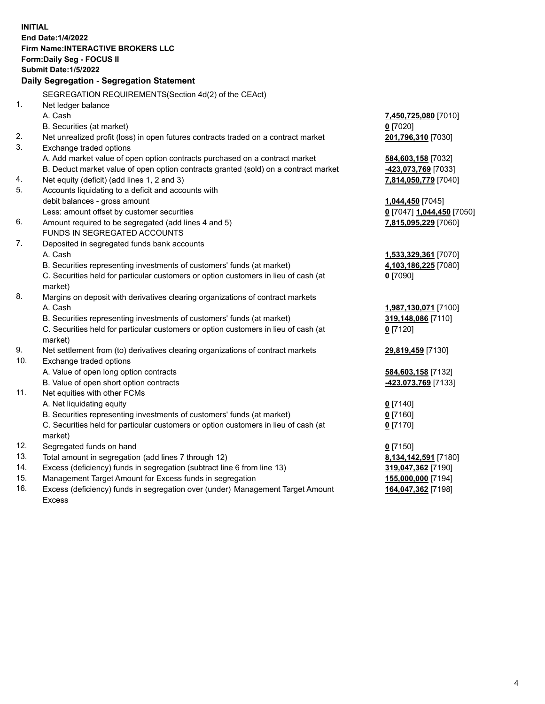**INITIAL End Date:1/4/2022 Firm Name:INTERACTIVE BROKERS LLC Form:Daily Seg - FOCUS II Submit Date:1/5/2022 Daily Segregation - Segregation Statement** SEGREGATION REQUIREMENTS(Section 4d(2) of the CEAct) 1. Net ledger balance A. Cash **7,450,725,080** [7010] B. Securities (at market) **0** [7020] 2. Net unrealized profit (loss) in open futures contracts traded on a contract market **201,796,310** [7030] 3. Exchange traded options A. Add market value of open option contracts purchased on a contract market **584,603,158** [7032] B. Deduct market value of open option contracts granted (sold) on a contract market **-423,073,769** [7033] 4. Net equity (deficit) (add lines 1, 2 and 3) **7,814,050,779** [7040] 5. Accounts liquidating to a deficit and accounts with debit balances - gross amount **1,044,450** [7045] Less: amount offset by customer securities **0** [7047] **1,044,450** [7050] 6. Amount required to be segregated (add lines 4 and 5) **7,815,095,229** [7060] FUNDS IN SEGREGATED ACCOUNTS 7. Deposited in segregated funds bank accounts A. Cash **1,533,329,361** [7070] B. Securities representing investments of customers' funds (at market) **4,103,186,225** [7080] C. Securities held for particular customers or option customers in lieu of cash (at market) **0** [7090] 8. Margins on deposit with derivatives clearing organizations of contract markets A. Cash **1,987,130,071** [7100] B. Securities representing investments of customers' funds (at market) **319,148,086** [7110] C. Securities held for particular customers or option customers in lieu of cash (at market) **0** [7120] 9. Net settlement from (to) derivatives clearing organizations of contract markets **29,819,459** [7130] 10. Exchange traded options A. Value of open long option contracts **584,603,158** [7132] B. Value of open short option contracts **-423,073,769** [7133] 11. Net equities with other FCMs A. Net liquidating equity **0** [7140] B. Securities representing investments of customers' funds (at market) **0** [7160] C. Securities held for particular customers or option customers in lieu of cash (at market) **0** [7170] 12. Segregated funds on hand **0** [7150] 13. Total amount in segregation (add lines 7 through 12) **8,134,142,591** [7180] 14. Excess (deficiency) funds in segregation (subtract line 6 from line 13) **319,047,362** [7190] 15. Management Target Amount for Excess funds in segregation **155,000,000** [7194] 16. Excess (deficiency) funds in segregation over (under) Management Target Amount Excess **164,047,362** [7198]